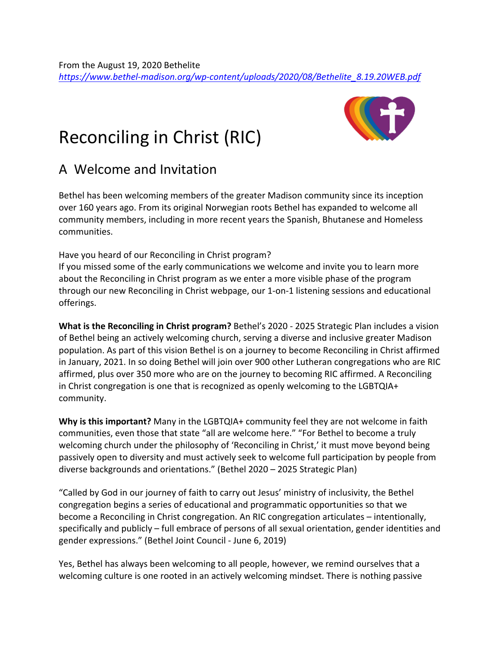## Reconciling in Christ (RIC)

## A Welcome and Invitation

Bethel has been welcoming members of the greater Madison community since its inception over 160 years ago. From its original Norwegian roots Bethel has expanded to welcome all community members, including in more recent years the Spanish, Bhutanese and Homeless communities.

Have you heard of our Reconciling in Christ program?

If you missed some of the early communications we welcome and invite you to learn more about the Reconciling in Christ program as we enter a more visible phase of the program through our new Reconciling in Christ webpage, our 1-on-1 listening sessions and educational offerings.

**What is the Reconciling in Christ program?** Bethel's 2020 - 2025 Strategic Plan includes a vision of Bethel being an actively welcoming church, serving a diverse and inclusive greater Madison population. As part of this vision Bethel is on a journey to become Reconciling in Christ affirmed in January, 2021. In so doing Bethel will join over 900 other Lutheran congregations who are RIC affirmed, plus over 350 more who are on the journey to becoming RIC affirmed. A Reconciling in Christ congregation is one that is recognized as openly welcoming to the LGBTQIA+ community.

**Why is this important?** Many in the LGBTQIA+ community feel they are not welcome in faith communities, even those that state "all are welcome here." "For Bethel to become a truly welcoming church under the philosophy of 'Reconciling in Christ,' it must move beyond being passively open to diversity and must actively seek to welcome full participation by people from diverse backgrounds and orientations." (Bethel 2020 – 2025 Strategic Plan)

"Called by God in our journey of faith to carry out Jesus' ministry of inclusivity, the Bethel congregation begins a series of educational and programmatic opportunities so that we become a Reconciling in Christ congregation. An RIC congregation articulates – intentionally, specifically and publicly – full embrace of persons of all sexual orientation, gender identities and gender expressions." (Bethel Joint Council - June 6, 2019)

Yes, Bethel has always been welcoming to all people, however, we remind ourselves that a welcoming culture is one rooted in an actively welcoming mindset. There is nothing passive